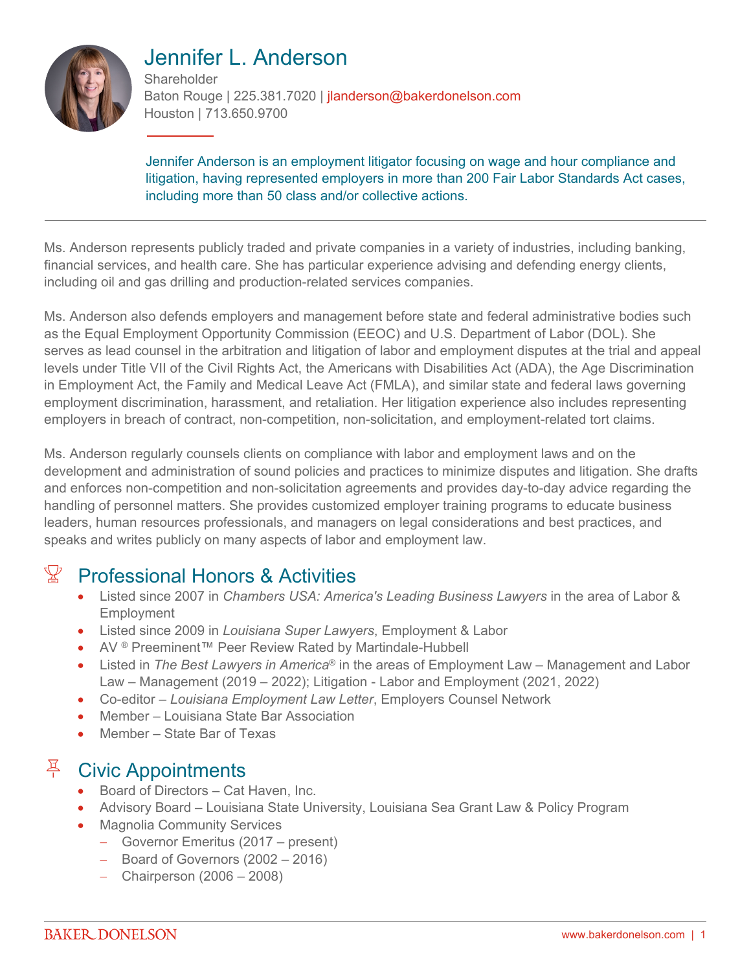

# Jennifer L. Anderson

**Shareholder** Baton Rouge | 225.381.7020 | jlanderson@bakerdonelson.com Houston | 713.650.9700

Jennifer Anderson is an employment litigator focusing on wage and hour compliance and litigation, having represented employers in more than 200 Fair Labor Standards Act cases, including more than 50 class and/or collective actions.

Ms. Anderson represents publicly traded and private companies in a variety of industries, including banking, financial services, and health care. She has particular experience advising and defending energy clients, including oil and gas drilling and production-related services companies.

Ms. Anderson also defends employers and management before state and federal administrative bodies such as the Equal Employment Opportunity Commission (EEOC) and U.S. Department of Labor (DOL). She serves as lead counsel in the arbitration and litigation of labor and employment disputes at the trial and appeal levels under Title VII of the Civil Rights Act, the Americans with Disabilities Act (ADA), the Age Discrimination in Employment Act, the Family and Medical Leave Act (FMLA), and similar state and federal laws governing employment discrimination, harassment, and retaliation. Her litigation experience also includes representing employers in breach of contract, non-competition, non-solicitation, and employment-related tort claims.

Ms. Anderson regularly counsels clients on compliance with labor and employment laws and on the development and administration of sound policies and practices to minimize disputes and litigation. She drafts and enforces non-competition and non-solicitation agreements and provides day-to-day advice regarding the handling of personnel matters. She provides customized employer training programs to educate business leaders, human resources professionals, and managers on legal considerations and best practices, and speaks and writes publicly on many aspects of labor and employment law.

## $\mathbb{X}$  Professional Honors & Activities

- Listed since 2007 in *Chambers USA: America's Leading Business Lawyers* in the area of Labor & Employment
- Listed since 2009 in *Louisiana Super Lawyers*, Employment & Labor
- AV<sup>®</sup> Preeminent™ Peer Review Rated by Martindale-Hubbell
- Listed in *The Best Lawyers in America*® in the areas of Employment Law Management and Labor Law – Management (2019 – 2022); Litigation - Labor and Employment (2021, 2022)
- Co-editor *Louisiana Employment Law Letter*, Employers Counsel Network
- Member Louisiana State Bar Association
- Member State Bar of Texas

### $\frac{R}{r}$  Civic Appointments

- Board of Directors Cat Haven, Inc.
- Advisory Board Louisiana State University, Louisiana Sea Grant Law & Policy Program
- Magnolia Community Services
	- Governor Emeritus (2017 present)
	- $-$  Board of Governors (2002 2016)
	- $-$  Chairperson (2006 2008)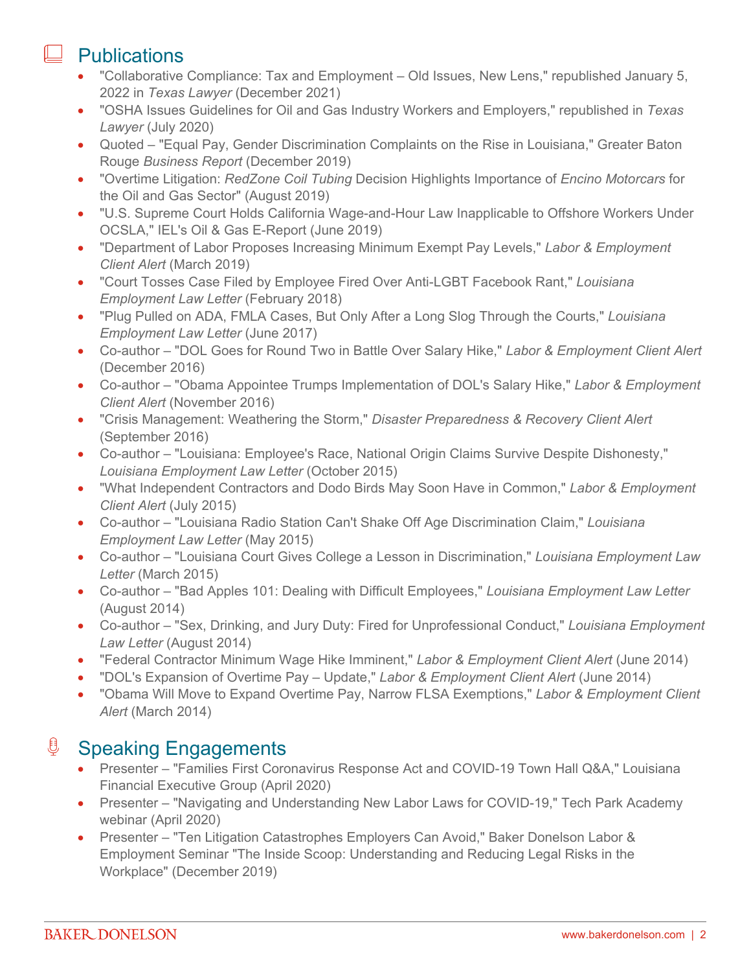### **Publications**

- "Collaborative Compliance: Tax and Employment Old Issues, New Lens," republished January 5, 2022 in *Texas Lawyer* (December 2021)
- "OSHA Issues Guidelines for Oil and Gas Industry Workers and Employers," republished in *Texas Lawyer* (July 2020)
- Quoted "Equal Pay, Gender Discrimination Complaints on the Rise in Louisiana," Greater Baton Rouge *Business Report* (December 2019)
- "Overtime Litigation: *RedZone Coil Tubing* Decision Highlights Importance of *Encino Motorcars* for the Oil and Gas Sector" (August 2019)
- "U.S. Supreme Court Holds California Wage-and-Hour Law Inapplicable to Offshore Workers Under OCSLA," IEL's Oil & Gas E-Report (June 2019)
- "Department of Labor Proposes Increasing Minimum Exempt Pay Levels," *Labor & Employment Client Alert* (March 2019)
- "Court Tosses Case Filed by Employee Fired Over Anti-LGBT Facebook Rant," *Louisiana Employment Law Letter* (February 2018)
- "Plug Pulled on ADA, FMLA Cases, But Only After a Long Slog Through the Courts," *Louisiana Employment Law Letter* (June 2017)
- Co-author "DOL Goes for Round Two in Battle Over Salary Hike," *Labor & Employment Client Alert* (December 2016)
- Co-author "Obama Appointee Trumps Implementation of DOL's Salary Hike," *Labor & Employment Client Alert* (November 2016)
- "Crisis Management: Weathering the Storm," *Disaster Preparedness & Recovery Client Alert* (September 2016)
- Co-author "Louisiana: Employee's Race, National Origin Claims Survive Despite Dishonesty," *Louisiana Employment Law Letter* (October 2015)
- "What Independent Contractors and Dodo Birds May Soon Have in Common," *Labor & Employment Client Alert* (July 2015)
- Co-author "Louisiana Radio Station Can't Shake Off Age Discrimination Claim," *Louisiana Employment Law Letter* (May 2015)
- Co-author "Louisiana Court Gives College a Lesson in Discrimination," *Louisiana Employment Law Letter* (March 2015)
- Co-author "Bad Apples 101: Dealing with Difficult Employees," *Louisiana Employment Law Letter* (August 2014)
- Co-author "Sex, Drinking, and Jury Duty: Fired for Unprofessional Conduct," *Louisiana Employment Law Letter* (August 2014)
- "Federal Contractor Minimum Wage Hike Imminent," *Labor & Employment Client Alert* (June 2014)
- "DOL's Expansion of Overtime Pay Update," *Labor & Employment Client Alert* (June 2014)
- "Obama Will Move to Expand Overtime Pay, Narrow FLSA Exemptions," *Labor & Employment Client Alert* (March 2014)

### **<u>U</u>** Speaking Engagements

- Presenter "Families First Coronavirus Response Act and COVID-19 Town Hall Q&A," Louisiana Financial Executive Group (April 2020)
- Presenter "Navigating and Understanding New Labor Laws for COVID-19," Tech Park Academy webinar (April 2020)
- Presenter "Ten Litigation Catastrophes Employers Can Avoid," Baker Donelson Labor & Employment Seminar "The Inside Scoop: Understanding and Reducing Legal Risks in the Workplace" (December 2019)